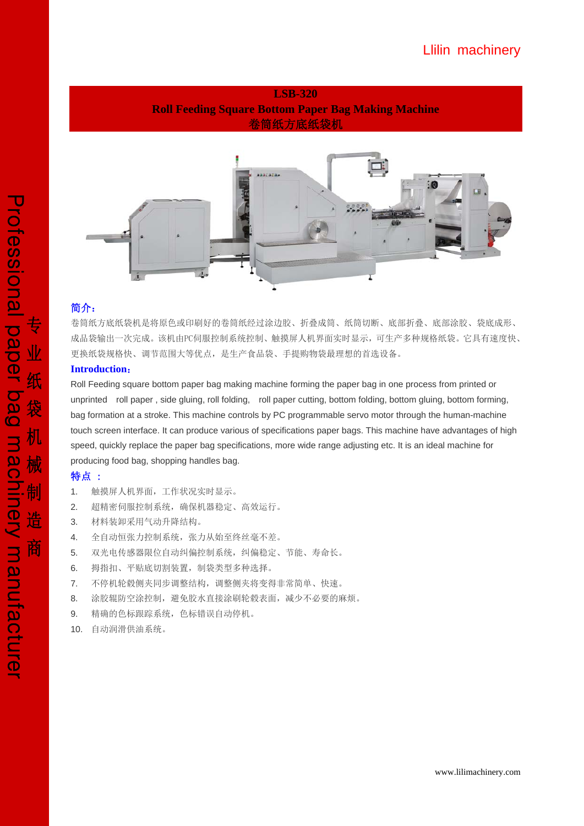



## 简介:

卷筒纸方底纸袋机是将原色或印刷好的卷筒纸经过涂边胶、折叠成筒、纸筒切断、底部折叠、底部涂胶、袋底成形、 成品袋输出一次完成。该机由PC伺服控制系统控制、触摸屏人机界面实时显示,可生产多种规格纸袋。它具有速度快、 更换纸袋规格快、调节范围大等优点,是生产食品袋、手提购物袋最理想的首选设备。

## **Introduction**:

Roll Feeding square bottom paper bag making machine forming the paper bag in one process from printed or unprinted roll paper , side gluing, roll folding, roll paper cutting, bottom folding, bottom gluing, bottom forming, bag formation at a stroke. This machine controls by PC programmable servo motor through the human-machine touch screen interface. It can produce various of specifications paper bags. This machine have advantages of high speed, quickly replace the paper bag specifications, more wide range adjusting etc. It is an ideal machine for producing food bag, shopping handles bag.

## 特点 :

- 1. 触摸屏人机界面,工作状况实时显示。
- 2. 超精密伺服控制系统,确保机器稳定、高效运行。
- 3. 材料装卸采用气动升降结构。
- 4. 全自动恒张力控制系统,张力从始至终丝毫不差。
- 5. 双光电传感器限位自动纠偏控制系统,纠偏稳定、节能、寿命长。
- 6. 拇指扣、平贴底切割装置,制袋类型多种选择。
- 7. 不停机轮毂侧夹同步调整结构,调整侧夹将变得非常简单、快速。
- 8. 涂胶辊防空涂控制,避免胶水直接涂刷轮毂表面,减少不必要的麻烦。
- 9. 精确的色标跟踪系统,色标错误自动停机。
- 10. 自动润滑供油系统。